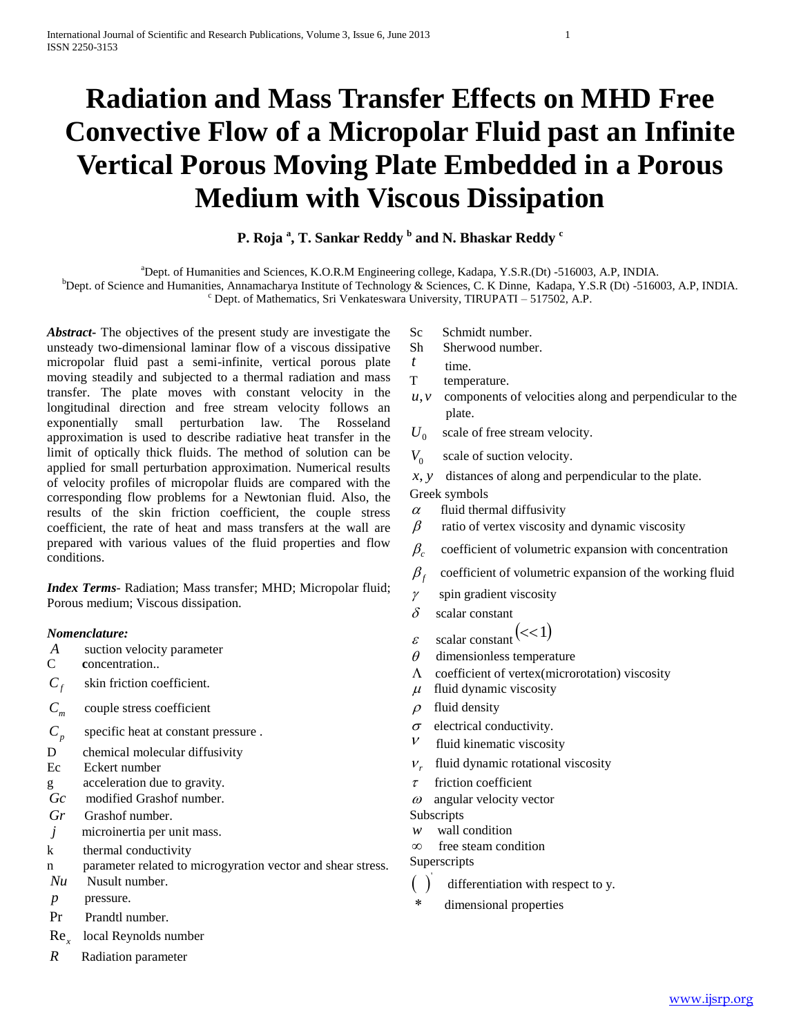# **Radiation and Mass Transfer Effects on MHD Free Convective Flow of a Micropolar Fluid past an Infinite Vertical Porous Moving Plate Embedded in a Porous Medium with Viscous Dissipation**

## **P. Roja <sup>a</sup> , T. Sankar Reddy <sup>b</sup> and N. Bhaskar Reddy <sup>c</sup>**

<sup>a</sup>Dept. of Humanities and Sciences, K.O.R.M Engineering college, Kadapa, Y.S.R.(Dt) -516003, A.P, INDIA.

bDept. of Science and Humanities, Annamacharya Institute of Technology & Sciences, C. K Dinne, Kadapa, Y.S.R (Dt) -516003, A.P, INDIA.  $\degree$  Dept. of Mathematics, Sri Venkateswara University, TIRUPATI – 517502, A.P.

*Abstract***-** The objectives of the present study are investigate the unsteady two-dimensional laminar flow of a viscous dissipative micropolar fluid past a semi-infinite, vertical porous plate moving steadily and subjected to a thermal radiation and mass transfer. The plate moves with constant velocity in the longitudinal direction and free stream velocity follows an exponentially small perturbation law. The Rosseland approximation is used to describe radiative heat transfer in the limit of optically thick fluids. The method of solution can be applied for small perturbation approximation. Numerical results of velocity profiles of micropolar fluids are compared with the corresponding flow problems for a Newtonian fluid. Also, the results of the skin friction coefficient, the couple stress coefficient, the rate of heat and mass transfers at the wall are prepared with various values of the fluid properties and flow conditions.

*Index Terms*- Radiation; Mass transfer; MHD; Micropolar fluid; Porous medium; Viscous dissipation.

## *Nomenclature:*

- *A* suction velocity parameter
- C **c**oncentration..
- $C_f$ skin friction coefficient.
- *Cm* couple stress coefficient
- $C_p$ specific heat at constant pressure .
- D chemical molecular diffusivity
- Ec Eckert number
- g acceleration due to gravity.
- *Gc* modified Grashof number.
- *Gr* Grashof number.
- *j* microinertia per unit mass.
- k thermal conductivity
- n parameter related to microgyration vector and shear stress.
- *Nu* Nusult number.
- *p* pressure.
- Pr Prandtl number.
- Re*<sup>x</sup>* local Reynolds number
- *R* Radiation parameter
- Sc Schmidt number.
- Sh Sherwood number.
- *t* time.
- T temperature.
- $u, v$  components of velocities along and perpendicular to the plate.
- $U_{\alpha}$ scale of free stream velocity.
- $V_{\alpha}$ scale of suction velocity.
- *x y*, distances of along and perpendicular to the plate.

## Greek symbols

- $\alpha$  fluid thermal diffusivity
- $\beta$  ratio of vertex viscosity and dynamic viscosity
- $\beta_c$  coefficient of volumetric expansion with concentration
- $\beta<sub>f</sub>$  coefficient of volumetric expansion of the working fluid
- $\gamma$  spin gradient viscosity
- $\delta$  scalar constant
- $\varepsilon$  scalar constant  $(<1)$
- $\theta$  dimensionless temperature
- $\Lambda$  coefficient of vertex(microrotation) viscosity
- $\mu$  fluid dynamic viscosity
- $\rho$  fluid density
- $\sigma$  electrical conductivity.
- $V$  fluid kinematic viscosity
- $V_{r}$ fluid dynamic rotational viscosity
- $\tau$  friction coefficient
- $\omega$  angular velocity vector
- Subscripts
- *w* wall condition
- $\infty$  free steam condition

Superscripts

- $( )$ differentiation with respect to y.
- dimensional properties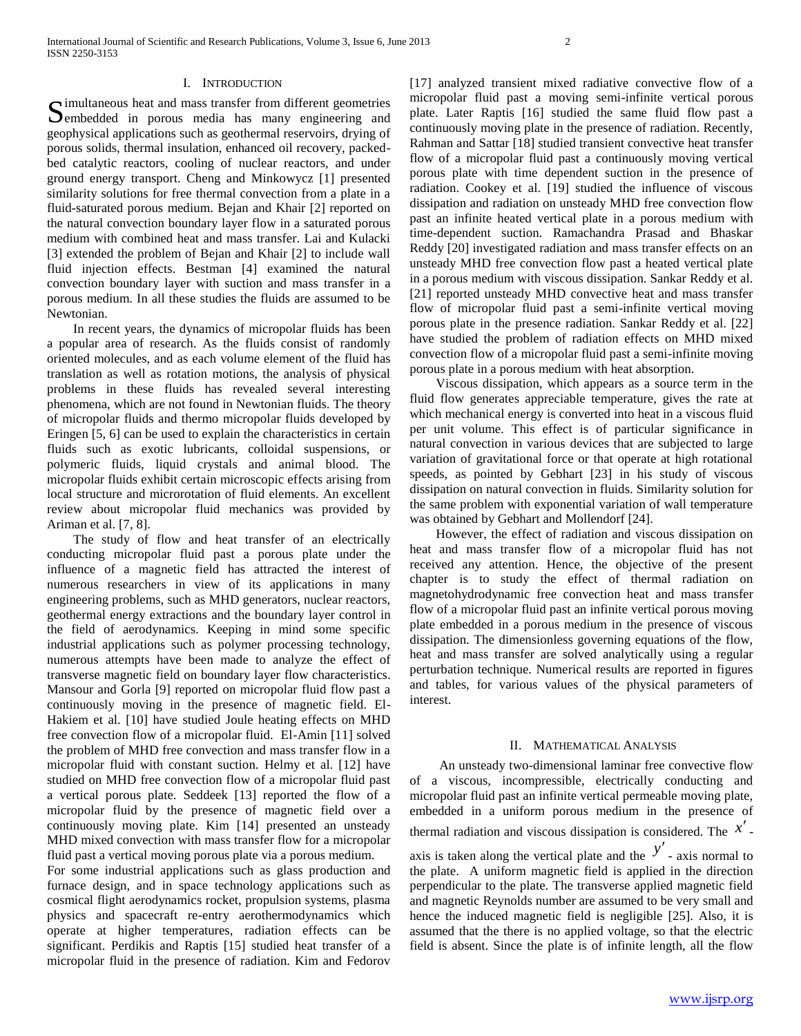#### I. INTRODUCTION

imultaneous heat and mass transfer from different geometries Simultaneous heat and mass transfer from different geometries<br>Sembedded in porous media has many engineering and geophysical applications such as geothermal reservoirs, drying of porous solids, thermal insulation, enhanced oil recovery, packedbed catalytic reactors, cooling of nuclear reactors, and under ground energy transport. Cheng and Minkowycz [1] presented similarity solutions for free thermal convection from a plate in a fluid-saturated porous medium. Bejan and Khair [2] reported on the natural convection boundary layer flow in a saturated porous medium with combined heat and mass transfer. Lai and Kulacki [3] extended the problem of Bejan and Khair [2] to include wall fluid injection effects. Bestman [4] examined the natural convection boundary layer with suction and mass transfer in a porous medium. In all these studies the fluids are assumed to be Newtonian.

 In recent years, the dynamics of micropolar fluids has been a popular area of research. As the fluids consist of randomly oriented molecules, and as each volume element of the fluid has translation as well as rotation motions, the analysis of physical problems in these fluids has revealed several interesting phenomena, which are not found in Newtonian fluids. The theory of micropolar fluids and thermo micropolar fluids developed by Eringen [5, 6] can be used to explain the characteristics in certain fluids such as exotic lubricants, colloidal suspensions, or polymeric fluids, liquid crystals and animal blood. The micropolar fluids exhibit certain microscopic effects arising from local structure and microrotation of fluid elements. An excellent review about micropolar fluid mechanics was provided by Ariman et al. [7, 8].

 The study of flow and heat transfer of an electrically conducting micropolar fluid past a porous plate under the influence of a magnetic field has attracted the interest of numerous researchers in view of its applications in many engineering problems, such as MHD generators, nuclear reactors, geothermal energy extractions and the boundary layer control in the field of aerodynamics. Keeping in mind some specific industrial applications such as polymer processing technology, numerous attempts have been made to analyze the effect of transverse magnetic field on boundary layer flow characteristics. Mansour and Gorla [9] reported on micropolar fluid flow past a continuously moving in the presence of magnetic field. El-Hakiem et al. [10] have studied Joule heating effects on MHD free convection flow of a micropolar fluid. El-Amin [11] solved the problem of MHD free convection and mass transfer flow in a micropolar fluid with constant suction. Helmy et al. [12] have studied on MHD free convection flow of a micropolar fluid past a vertical porous plate. Seddeek [13] reported the flow of a micropolar fluid by the presence of magnetic field over a continuously moving plate. Kim [14] presented an unsteady MHD mixed convection with mass transfer flow for a micropolar fluid past a vertical moving porous plate via a porous medium.

For some industrial applications such as glass production and furnace design, and in space technology applications such as cosmical flight aerodynamics rocket, propulsion systems, plasma physics and spacecraft re-entry aerothermodynamics which operate at higher temperatures, radiation effects can be significant. Perdikis and Raptis [15] studied heat transfer of a micropolar fluid in the presence of radiation. Kim and Fedorov

[17] analyzed transient mixed radiative convective flow of a micropolar fluid past a moving semi-infinite vertical porous plate. Later Raptis [16] studied the same fluid flow past a continuously moving plate in the presence of radiation. Recently, Rahman and Sattar [18] studied transient convective heat transfer flow of a micropolar fluid past a continuously moving vertical porous plate with time dependent suction in the presence of radiation. Cookey et al. [19] studied the influence of viscous dissipation and radiation on unsteady MHD free convection flow past an infinite heated vertical plate in a porous medium with time-dependent suction. Ramachandra Prasad and Bhaskar Reddy [20] investigated radiation and mass transfer effects on an unsteady MHD free convection flow past a heated vertical plate in a porous medium with viscous dissipation. Sankar Reddy et al. [21] reported unsteady MHD convective heat and mass transfer flow of micropolar fluid past a semi-infinite vertical moving porous plate in the presence radiation. Sankar Reddy et al. [22] have studied the problem of radiation effects on MHD mixed convection flow of a micropolar fluid past a semi-infinite moving porous plate in a porous medium with heat absorption.

 Viscous dissipation, which appears as a source term in the fluid flow generates appreciable temperature, gives the rate at which mechanical energy is converted into heat in a viscous fluid per unit volume. This effect is of particular significance in natural convection in various devices that are subjected to large variation of gravitational force or that operate at high rotational speeds, as pointed by Gebhart [23] in his study of viscous dissipation on natural convection in fluids. Similarity solution for the same problem with exponential variation of wall temperature was obtained by Gebhart and Mollendorf [24].

 However, the effect of radiation and viscous dissipation on heat and mass transfer flow of a micropolar fluid has not received any attention. Hence, the objective of the present chapter is to study the effect of thermal radiation on magnetohydrodynamic free convection heat and mass transfer flow of a micropolar fluid past an infinite vertical porous moving plate embedded in a porous medium in the presence of viscous dissipation. The dimensionless governing equations of the flow, heat and mass transfer are solved analytically using a regular perturbation technique. Numerical results are reported in figures and tables, for various values of the physical parameters of interest.

#### II. MATHEMATICAL ANALYSIS

 An unsteady two-dimensional laminar free convective flow of a viscous, incompressible, electrically conducting and micropolar fluid past an infinite vertical permeable moving plate, embedded in a uniform porous medium in the presence of thermal radiation and viscous dissipation is considered. The *x* -

axis is taken along the vertical plate and the  $y'$  - axis normal to the plate. A uniform magnetic field is applied in the direction perpendicular to the plate. The transverse applied magnetic field and magnetic Reynolds number are assumed to be very small and hence the induced magnetic field is negligible [25]. Also, it is assumed that the there is no applied voltage, so that the electric field is absent. Since the plate is of infinite length, all the flow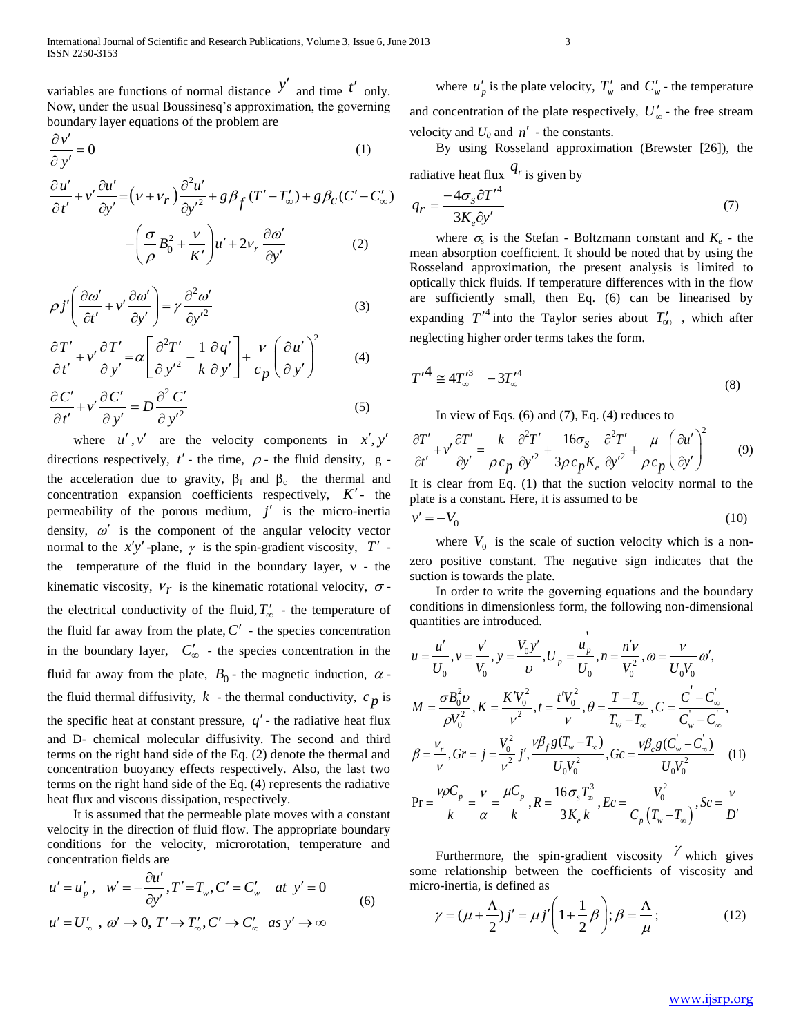variables are functions of normal distance  $y'$  and time  $t'$  only. Now, under the usual Boussinesq's approximation, the governing boundary layer equations of the problem are

$$
\frac{\partial v'}{\partial y'} = 0
$$
\n
$$
\frac{\partial u'}{\partial t} + v' \frac{\partial u'}{\partial t} = (\nu + \nu_r) \frac{\partial^2 u'}{\partial t} + \varrho \beta_c (T' - T'_r) + \varrho \beta_c (C' - C'')
$$

$$
\frac{\partial u'}{\partial t'} = 0
$$
\n
$$
(1)
$$
\n
$$
\frac{\partial u'}{\partial t'} + v' \frac{\partial u'}{\partial y'} = (v + v_r) \frac{\partial^2 u'}{\partial y'^2} + g \beta_f (T' - T'_{\infty}) + g \beta_c (C' - C'_{\infty})
$$
\n
$$
- \left(\frac{\sigma}{\rho} B_0^2 + \frac{v}{K'}\right) u' + 2v_r \frac{\partial \omega'}{\partial y'}
$$
\n
$$
(2)
$$
\n
$$
(3)
$$
\n
$$
(4)
$$
\n
$$
q_r = (1)
$$
\n
$$
q_r = (1)
$$
\n
$$
q_r = (1)
$$
\n
$$
q_r = (1)
$$
\n
$$
q_r = (1)
$$
\n
$$
q_r = (1)
$$
\n
$$
q_r = (1)
$$
\n
$$
q_r = (1)
$$
\n
$$
q_r = (1)
$$
\n
$$
q_r = (1)
$$
\n
$$
q_r = (1)
$$
\n
$$
q_r = (1)
$$
\n
$$
q_r = (1)
$$
\n
$$
q_r = (1)
$$
\n
$$
q_r = (1)
$$
\n
$$
q_r = (1)
$$
\n
$$
q_r = (1)
$$
\n
$$
q_r = (1)
$$
\n
$$
q_r = (1)
$$
\n
$$
q_r = (1)
$$
\n
$$
q_r = (1)
$$
\n
$$
q_r = (1)
$$
\n
$$
q_r = (1)
$$
\n
$$
q_r = (1)
$$
\n
$$
q_r = (1)
$$
\n
$$
q_r = (1)
$$
\n
$$
q_r = (1)
$$
\n
$$
q_r = (1)
$$
\n
$$
q_r = (1)
$$
\n
$$
q_r = (1)
$$
\n
$$
q_r = (1)
$$
\n
$$
q_r = (1)
$$
\n
$$
q_r = (1)
$$
\n
$$
q_r = (1)
$$
\n
$$
q_r = (1)
$$
\n
$$
q_r = (1)
$$
\n
$$
q_r = (1)
$$
\n<math display="</math>

$$
\rho j' \left( \frac{\partial \omega'}{\partial t'} + v' \frac{\partial \omega'}{\partial y'} \right) = \gamma \frac{\partial^2 \omega'}{\partial y'^2}
$$
(3)

$$
\frac{\partial T'}{\partial t'} + v' \frac{\partial T'}{\partial y'} = \alpha \left[ \frac{\partial^2 T'}{\partial y'^2} - \frac{1}{k} \frac{\partial q'}{\partial y'} \right] + \frac{v}{c_p} \left( \frac{\partial u'}{\partial y'} \right)^2 \tag{4}
$$

$$
\frac{\partial t'}{\partial t'} + v' \frac{\partial c'}{\partial y'} = D \frac{\partial^2 C'}{\partial y'^2} \qquad (5)
$$

where  $u', v'$  are the velocity components in  $x', y'$ directions respectively,  $t'$  - the time,  $\rho$  - the fluid density, g the acceleration due to gravity,  $\beta_f$  and  $\beta_c$  the thermal and concentration expansion coefficients respectively,  $K'$ - the permeability of the porous medium,  $j'$  is the micro-inertia density,  $\omega'$  is the component of the angular velocity vector normal to the  $x'y'$ -plane,  $\gamma$  is the spin-gradient viscosity,  $T'$  the temperature of the fluid in the boundary layer,  $v$  - the kinematic viscosity,  $v_r$  is the kinematic rotational velocity,  $\sigma$ the electrical conductivity of the fluid,  $T'_{\infty}$  - the temperature of the fluid far away from the plate,  $C'$  - the species concentration in the boundary layer,  $C'_{\infty}$  - the species concentration in the fluid far away from the plate,  $B_0$  - the magnetic induction,  $\alpha$  the fluid thermal diffusivity,  $k$  - the thermal conductivity,  $c_p$  is the specific heat at constant pressure,  $q'$  - the radiative heat flux and D- chemical molecular diffusivity. The second and third terms on the right hand side of the Eq. (2) denote the thermal and concentration buoyancy effects respectively. Also, the last two terms on the right hand side of the Eq. (4) represents the radiative heat flux and viscous dissipation, respectively.

 It is assumed that the permeable plate moves with a constant velocity in the direction of fluid flow. The appropriate boundary conditions for the velocity, microrotation, temperature and concentration fields are

concentration fields are  
\n
$$
u' = u'_p
$$
,  $w' = -\frac{\partial u'}{\partial y'}$ ,  $T' = T_w$ ,  $C' = C'_w$  at  $y' = 0$   
\n $u' = U'_\infty$ ,  $\omega' \rightarrow 0$ ,  $T' \rightarrow T'_\infty$ ,  $C' \rightarrow C'_\infty$  as  $y' \rightarrow \infty$  (6)

where  $u'_p$  is the plate velocity,  $T'_w$  and  $C'_w$  - the temperature and concentration of the plate respectively,  $U'_{\infty}$  - the free stream velocity and  $U_0$  and  $n'$  - the constants.

By using Rosseland approximation (Brewster [26]), the

radiative heat flux 
$$
q_r
$$
 is given by  
\n
$$
q_r = \frac{-4\sigma_s \partial T'^4}{3K_e \partial y'}
$$
\n(7)

where  $\sigma_s$  is the Stefan - Boltzmann constant and  $K_e$  - the mean absorption coefficient. It should be noted that by using the Rosseland approximation, the present analysis is limited to optically thick fluids. If temperature differences with in the flow are sufficiently small, then Eq. (6) can be linearised by expanding  $T'^4$  into the Taylor series about  $T'_{\infty}$ , which after neglecting higher order terms takes the form.

$$
T'^4 \cong 4T'^3_{\infty} - 3T'^4_{\infty} \tag{8}
$$

In view of Eqs. (6) and (7), Eq. (4) reduces to  
\n
$$
\frac{\partial T'}{\partial t'} + v' \frac{\partial T'}{\partial y'} = \frac{k}{\rho c_p} \frac{\partial^2 T'}{\partial y'^2} + \frac{16\sigma_s}{3\rho c_p K_e} \frac{\partial^2 T'}{\partial y'^2} + \frac{\mu}{\rho c_p} \left(\frac{\partial u'}{\partial y'}\right)^2
$$
\n(9)

It is clear from Eq. (1) that the suction velocity normal to the plate is a constant. Here, it is assumed to be  $v' = -V_0$  (10) It is clear from Eq. (1) that the suction ve<br>plate is a constant. Here, it is assumed to be<br> $v' = -V_0$ 

$$
v' = -V_0 \tag{10}
$$

where  $V_0$  is the scale of suction velocity which is a nonzero positive constant. The negative sign indicates that the suction is towards the plate.

 In order to write the governing equations and the boundary conditions in dimensionless form, the following non-dimensional

'

quantities are introduced.  
\n
$$
u = \frac{u'}{U_0}, v = \frac{v'}{V_0}, y = \frac{V_0 y'}{v}, U_p = \frac{u_p}{U_0}, n = \frac{n'v}{V_0^2}, \omega = \frac{v}{U_0V_0} \omega',
$$
\n
$$
M = \frac{\sigma B_0^2 v}{\rho V_0^2}, K = \frac{K'V_0^2}{v^2}, t = \frac{t'V_0^2}{v}, \theta = \frac{T - T_\infty}{T_w - T_\infty}, C = \frac{C - C_\infty}{C_w - C_\infty},
$$
\n
$$
\beta = \frac{v_r}{v}, Gr = j = \frac{V_0^2}{v^2} j', \frac{v\beta_f g(T_w - T_\infty)}{U_0V_0^2}, Gc = \frac{v\beta_c g(C_w - C_\infty)}{U_0V_0^2}
$$
\n(11)  
\n
$$
Pr = \frac{v\rho C_p}{k} = \frac{v}{\alpha} = \frac{\mu C_p}{k}, R = \frac{16\sigma_s T_\infty^3}{3K_e k}, Ec = \frac{V_0^2}{C_p(T_w - T_\infty)}, Sc = \frac{v}{D'}
$$

Furthermore, the spin-gradient viscosity  $\gamma$  which gives some relationship between the coefficients of viscosity and

micro-inertia, is defined as  
\n
$$
\gamma = (\mu + \frac{\Lambda}{2})j' = \mu j' \left(1 + \frac{1}{2}\beta\right); \beta = \frac{\Lambda}{\mu};
$$
\n(12)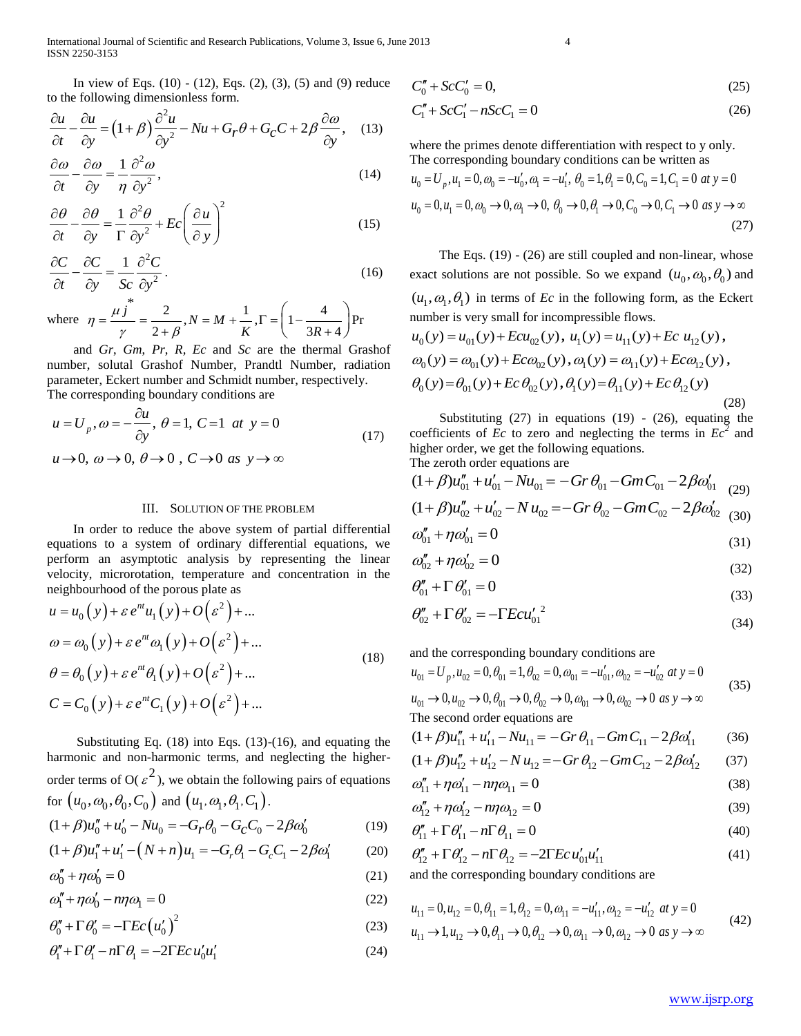International Journal of Scientific and Research Publications, Volume 3, Issue 6, June 2013 4 ISSN 2250-3153

In view of Eqs. (10) - (12), Eqs. (2), (3), (5) and (9) reduce

to the following dimensionless form.  
\n
$$
\frac{\partial u}{\partial t} - \frac{\partial u}{\partial y} = (1 + \beta) \frac{\partial^2 u}{\partial y^2} - Nu + G_r \theta + G_c C + 2\beta \frac{\partial \omega}{\partial y},
$$
\n(13)

$$
\frac{\partial \omega}{\partial t} - \frac{\partial \omega}{\partial y} = \frac{1}{\eta} \frac{\partial^2 \omega}{\partial y^2},\tag{14}
$$

$$
\frac{\partial \theta}{\partial t} - \frac{\partial \theta}{\partial y} = \frac{1}{\Gamma} \frac{\partial^2 \theta}{\partial y^2} + Ec \left( \frac{\partial u}{\partial y} \right)^2 \tag{15}
$$

$$
\frac{\partial C}{\partial t} - \frac{\partial C}{\partial y} = \frac{1}{Sc} \frac{\partial^2 C}{\partial y^2}.
$$
\n(16)

where \*  $\frac{2}{\mu R}$ ,  $N = M + \frac{1}{\mu}$ ,  $\Gamma = \left(1 - \frac{4}{3R + 4}\right)$ Pr  $\frac{j}{\gamma} = \frac{2}{2+\beta}, N = M + \frac{1}{K}, \Gamma = \left(1 - \frac{4}{3R+4}\right)$  $N = M$  $\eta = \frac{\mu j}{\gamma} = \frac{2}{2 + \beta}, N = M + \frac{1}{K}, \Gamma = \left(1 - \frac{1}{3R}\right)$  $\frac{i j^2}{\gamma} = \frac{2}{2+\beta}, N =$  $=\frac{\mu j^*}{N}=\frac{2}{3\mu R}$ ,  $N=M+\frac{1}{K}$ ,  $\Gamma=\left(1-\frac{4}{3R\mu R}\right)$  $\frac{2}{4+\beta}, N = M + \frac{1}{K}, \Gamma = \left(1 - \frac{4}{3R + 4}\right)Pr$ 

 and *Gr*, *Gm*, *Pr*, *R, Ec* and *Sc* are the thermal Grashof number, solutal Grashof Number, Prandtl Number, radiation parameter, Eckert number and Schmidt number, respectively.

The corresponding boundary conditions are  
\n
$$
u = U_p
$$
,  $\omega = -\frac{\partial u}{\partial y}$ ,  $\theta = 1$ ,  $C = 1$  at  $y = 0$   
\n $u \rightarrow 0$ ,  $\omega \rightarrow 0$ ,  $\theta \rightarrow 0$ ,  $C \rightarrow 0$  as  $y \rightarrow \infty$  (17)

#### III. SOLUTION OF THE PROBLEM

 In order to reduce the above system of partial differential equations to a system of ordinary differential equations, we perform an asymptotic analysis by representing the linear velocity, microrotation, temperature and concentration in the

neighborhood of the porous plate as  
\n
$$
u = u_0(y) + \varepsilon e^{nt} u_1(y) + O(\varepsilon^2) + ...
$$
\n
$$
\omega = \omega_0(y) + \varepsilon e^{nt} \omega_1(y) + O(\varepsilon^2) + ...
$$
\n
$$
\theta = \theta_0(y) + \varepsilon e^{nt} \theta_1(y) + O(\varepsilon^2) + ...
$$
\n
$$
C = C_0(y) + \varepsilon e^{nt} C_1(y) + O(\varepsilon^2) + ...
$$
\n(18)

 Substituting Eq. (18) into Eqs. (13)-(16), and equating the harmonic and non-harmonic terms, and neglecting the higherorder terms of O( $\varepsilon^2$ ), we obtain the following pairs of equations

for 
$$
(u_0, \omega_0, \theta_0, C_0)
$$
 and  $(u_1, \omega_1, \theta_1, C_1)$ .  
\n $(1+\beta)u''_0 + u'_0 - Nu_0 = -G_r\theta_0 - G_cC_0 - 2\beta\omega'_0$  (19)  
\n $(1+\beta)u''_1 + u'_1 - (N+n)u_1 = -G_r\theta_1 - G_cC_1 - 2\beta\omega'_1$  (20)

$$
(1+\beta)u_1'' + u_1' - (N+n)u_1 = -G_r\theta_1 - G_cC_1 - 2\beta\omega_1'
$$
 (20)

$$
\omega_0'' + \eta \omega_0' = 0 \tag{21}
$$

$$
\omega_1'' + \eta \omega_0' - n\eta \omega_1 = 0 \tag{22}
$$

$$
\theta_0'' + \Gamma \theta_0' = -\Gamma E c \left( u_0' \right)^2 \tag{23}
$$

$$
\theta_1'' + \Gamma \theta_1' - n \Gamma \theta_1 = -2 \Gamma E c u_0' u_1'
$$
 (24)

$$
C_0'' + ScC_0' = 0,\t(25)
$$

$$
C_1'' + ScC_1' - nScC_1 = 0
$$
\n(26)

where the primes denote differentiation with respect to y only. The corresponding boundary conditions can be written as there the primes denote differentiation with respect to y only.<br>
the corresponding boundary conditions can be written as<br>  $_0 = U_p$ ,  $u_1 = 0$ ,  $\omega_0 = -u'_0$ ,  $\omega_1 = -u'_1$ ,  $\theta_0 = 1$ ,  $\theta_1 = 0$ ,  $C_0 = 1$ ,  $C_1 = 0$  at  $y = 0$  $0_0 = U_p$ ,  $u_1 = 0$ ,  $\omega_0 = -u'_0$ ,  $\omega_1 = -u'_1$ ,  $\theta_0 = 1$ ,  $\theta_1 = 0$ ,  $C_0 = 1$ ,  $C_1 = 0$  at  $y = 0$ <br>  $0 = 0$ ,  $u_1 = 0$ ,  $\omega_0 \rightarrow 0$ ,  $\omega_1 \rightarrow 0$ ,  $\theta_0 \rightarrow 0$ ,  $\theta_1 \rightarrow 0$ ,  $C_0 \rightarrow 0$ ,  $C_1 \rightarrow 0$  as  $y \rightarrow \infty$  $U_p$ ,  $u_1 = 0$ ,  $\omega_0 = -u'_0$ ,  $\omega_1 = -u'_1$ ,  $\theta_0 = 1$ ,  $\theta_1 = 0$ ,  $C_0 = 1$ ,  $C_1 = 0$ <br>  $0, u_1 = 0$ ,  $\omega_0 \rightarrow 0$ ,  $\omega_1 \rightarrow 0$ ,  $\theta_0 \rightarrow 0$ ,  $\theta_1 \rightarrow 0$ ,  $C_0 \rightarrow 0$ ,  $C_1 \rightarrow 0$ where the primes denote differentiation with respect to y or<br>The corresponding boundary conditions can be written as<br> $u_0 = U_p$ ,  $u_1 = 0$ ,  $\omega_0 = -u'_0$ ,  $\omega_1 = -u'_1$ ,  $\theta_0 = 1$ ,  $\theta_1 = 0$ ,  $C_0 = 1$ ,  $C_1 = 0$  at y  $u_0 = U_p$ ,  $u_1 = 0$ ,  $\omega_0 = -u'_0$ ,  $\omega_1 = -u'_1$ ,  $\theta_0 = 1$ ,  $\theta_1 = 0$ ,  $C_0 = 1$ ,  $C_1 = 0$  at y<br>  $u_0 = 0$ ,  $u_1 = 0$ ,  $\omega_0 \rightarrow 0$ ,  $\omega_1 \rightarrow 0$ ,  $\theta_0 \rightarrow 0$ ,  $\theta_1 \rightarrow 0$ ,  $C_0 \rightarrow 0$ ,  $C_1 \rightarrow 0$  as y the denote differentiation with responsions can be<br>  $\omega_0 = -u'_0$ ,  $\omega_1 = -u'_1$ ,  $\theta_0 = 1$ ,  $\theta_1 = 0$ ,  $C_0 =$ 0,  $\omega_0 = -u'_0$ ,  $\omega_1 = -u'_1$ ,  $\theta_0 = 1$ ,  $\theta_1 = 0$ ,  $C$ <br>  $\omega_0 \to 0$ ,  $\omega_1 \to 0$ ,  $\theta_0 \to 0$ ,  $\theta_1 \to 0$ ,  $C_0$ ere the primes denote differentiation with respect to y only.<br>
e corresponding boundary conditions can be written as<br>  $= U_p$ ,  $u_1 = 0$ ,  $\omega_0 = -u'_0$ ,  $\omega_1 = -u'_1$ ,  $\theta_0 = 1$ ,  $\theta_1 = 0$ ,  $C_0 = 1$ ,  $C_1 = 0$  at  $y = 0$ 

$$
(27)
$$

 The Eqs. (19) - (26) are still coupled and non-linear, whose exact solutions are not possible. So we expand  $(u_0, \omega_0, \theta_0)$  and  $(u_1, \omega_1, \theta_1)$  in terms of *Ec* in the following form, as the Eckert number is very small for incompressible flows.  $u_0(y) = u_{01}(y) + Ecu_{02}(y), u_1(y) = u_{11}(y) + Ec u_{12}(y),$ 

$$
u_0(y) = u_{01}(y) + Ecu_{02}(y), u_1(y) - u_{11}(y) + Ecu_{12}(y),
$$
  
\n
$$
\omega_0(y) = \omega_{01}(y) + Ec\omega_{02}(y), \omega_1(y) = \omega_{11}(y) + Ec\omega_{12}(y),
$$
  
\n
$$
\theta_0(y) = \theta_{01}(y) + Ec\theta_{02}(y), \theta_1(y) = \theta_{11}(y) + Ec\theta_{12}(y)
$$
\n(28)

Substituting  $(27)$  in equations  $(19)$  -  $(26)$ , equating the coefficients of  $\overline{Ec}$  to zero and neglecting the terms in  $\overline{Ec}^2$  and The zeroth order equations are

higher order, we get the following equations.  
The zeroth order equations are  
\n
$$
(1+\beta)u_{01}'' + u_{01}' - Nu_{01} = -Gr \theta_{01} - GmC_{01} - 2\beta\omega_{01}'
$$
 (29)  
\n $(1+\beta)u_{02}'' + u_{02}' - Nu_{02} = -Gr \theta_{02} - GmC_{02} - 2\beta\omega_{02}'$  (30)

$$
(1+ \beta)u_{02}^2 + u_{02} - N u_{02} = -Gr \theta_{02} - GmC_{02} - 2\beta \omega_{02} \tag{30}
$$

$$
\omega_{01} + \eta \omega_{01} = 0 \tag{31}
$$

$$
\omega''_{02} + \eta \omega'_{02} = 0 \tag{32}
$$

$$
\theta''_{01} + \Gamma \theta'_{01} = 0 \tag{33}
$$

$$
\theta''_{02} + \Gamma \theta'_{02} = -\Gamma E c u'_{01}^2 \tag{34}
$$

and the corresponding boundary conditions are  
\n
$$
u_{01} = U_p, u_{02} = 0, \theta_{01} = 1, \theta_{02} = 0, \omega_{01} = -u'_{01}, \omega_{02} = -u'_{02} \text{ at } y = 0
$$
  
\n $u_{01} \rightarrow 0, u_{02} \rightarrow 0, \theta_{01} \rightarrow 0, \theta_{02} \rightarrow 0, \omega_{01} \rightarrow 0, \omega_{02} \rightarrow 0 \text{ as } y \rightarrow \infty$  (35)

$$
u_{01} \to 0, u_{02} \to 0, \theta_{01} \to 0, \theta_{02} \to 0, \omega_{01} \to 0, \omega_{02} \to 0 \text{ as } y \to \infty
$$
  
The second order equations are  

$$
(1 + \beta)u_{11}'' + u_{11}' - Nu_{11} = -Gr \theta_{11} - GmC_{11} - 2\beta\omega_{11}'
$$
 (36)

$$
(1+\beta)u_{11}'' + u_{11}' - Nu_{11} = -Gr \theta_{11} - GmC_{11} - 2\beta\omega'_{11}
$$
 (36)  

$$
(1+\beta)u_{12}'' + u_{12}' - Nu_{12} = -Gr \theta_{12} - GmC_{12} - 2\beta\omega'_{12}
$$
 (37)

$$
a'' + ma' = ma
$$
  
\n
$$
a'' + ma' = ma
$$
  
\n
$$
a'' = ma
$$
  
\n(38)

$$
\omega_{1} + \eta \omega_{1} - \eta \omega_{1} = 0 \tag{30}
$$

$$
\omega_{12} + \eta \omega_{12} - \eta \eta \omega_{12} = 0 \tag{39}
$$

$$
\theta_{11}'' + \Gamma \theta_{11}' - n \Gamma \theta_{11} = 0 \tag{40}
$$

$$
\theta_{11}'' + \theta_{11} - \mu_1 \theta_{11} = 0 \tag{40}
$$
\n
$$
\theta_{12}'' + \Gamma \theta_{12}' - \mu_1 \theta_{12} = -2\Gamma E c u_{01}' u_{11}' \tag{41}
$$

and the corresponding boundary conditions are  
\n
$$
u_{11} = 0, u_{12} = 0, \theta_{11} = 1, \theta_{12} = 0, \omega_{11} = -u'_{11}, \omega_{12} = -u'_{12} \text{ at } y = 0
$$
\n
$$
u_{11} \rightarrow 1, u_{12} \rightarrow 0, \theta_{11} \rightarrow 0, \theta_{12} \rightarrow 0, \omega_{11} \rightarrow 0, \omega_{12} \rightarrow 0 \text{ as } y \rightarrow \infty
$$
\n(42)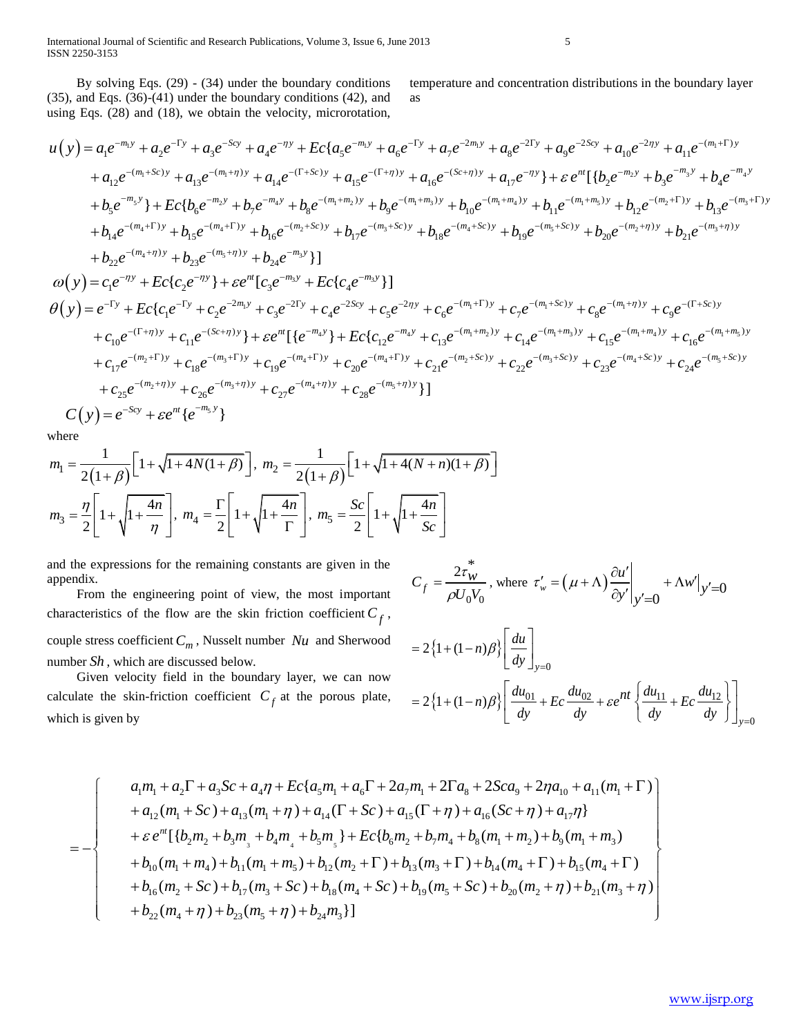By solving Eqs. (29) - (34) under the boundary conditions (35), and Eqs. (36)-(41) under the boundary conditions (42), and temperature and concentration distributions in the boundary layer as

By solving Eqs. (29) - (34) under the boundary conditions temperature and concentration distributions in the boundary layer  
\n(35), and Eqs. (36) - (41) under the boundary conditions (42), and  
\nusing Eqs. (28) and (18), we obtain the velocity, microrotation,  
\n
$$
u(y) = a_1e^{-m_1y} + a_2e^{-\Gamma y} + a_3e^{-5cy} + a_4e^{-\eta y} + Ec\{a_5e^{-m_1y} + a_6e^{-\Gamma y} + a_7e^{-2m_1y} + a_8e^{-2\Gamma y} + a_9e^{-25cy} + a_{10}e^{-2\eta y} + a_{11}e^{-(m_1+1)y} + a_{12}e^{-(m_1+5c)y} + a_{13}e^{-(m_1+1)y} + a_{14}e^{-(\Gamma+5c)y} + a_{15}e^{-(\Gamma+7y)y} + a_{15}e^{-(\Gamma+7y)y} + a_{16}e^{-(\Gamma+7y)y} + a_{17}e^{-(\Gamma+7y)y} + a_{17}e^{-(\Gamma+7y)y} + a_{18}e^{-(m_1+1)y} + b_{19}e^{-(m_1+1)y} + b_{10}e^{-(m_1+1)y} + b_{11}e^{-(m_1+1)y} + b_{12}e^{-(m_2+1)y} + b_{13}e^{-(m_3+1)y} + b_{14}e^{-(m_4+1)y} + b_{15}e^{-(m_4+1)y} + b_{16}e^{-(m_4+1)y} + b_{17}e^{-(m_4+1)y} + b_{18}e^{-(m_4+1)y} + b_{19}e^{-(m_4+1)y} + b_{19}e^{-(m_4+1)y} + b_{19}e^{-(m_4+1)y} + b_{19}e^{-(m_4+1)y} + b_{19}e^{-(m_4+1)y} + b_{19}e^{-(m_4+1)y} + b_{10}e^{-(m_4+1)y} + b_{11}e^{-(m_4+1)y} + b_{12}e^{-(m_4+1)y} + b_{11}e^{-(m_4+1)y} + b_{12}e^{-(m_4+1)y} + b_{12}e^{-(m_4+1)y} + b_{13}e^{-(m_4+1)y} + b_{11}e^{-(m_4+1)y} + b_{12}e^{-(m_4+1)y} +
$$

where

where  
\n
$$
m_1 = \frac{1}{2(1+\beta)} \Big[ 1 + \sqrt{1 + 4N(1+\beta)} \Big], \ m_2 = \frac{1}{2(1+\beta)} \Big[ 1 + \sqrt{1 + 4(N+n)(1+\beta)} \Big]
$$
\n
$$
m_3 = \frac{\eta}{2} \Bigg[ 1 + \sqrt{1 + \frac{4n}{\eta}} \Bigg], \ m_4 = \frac{\Gamma}{2} \Bigg[ 1 + \sqrt{1 + \frac{4n}{\Gamma}} \Bigg], \ m_5 = \frac{Sc}{2} \Bigg[ 1 + \sqrt{1 + \frac{4n}{Sc}} \Bigg]
$$

and the expressions for the remaining constants are given in the appendix.

 From the engineering point of view, the most important characteristics of the flow are the skin friction coefficient  $C_f$ , couple stress coefficient *C<sup>m</sup>* , Nusselt number *Nu* and Sherwood number *Sh* , which are discussed below.

 Given velocity field in the boundary layer, we can now calculate the skin-friction coefficient  $C_f$  at the porous plate, which is given by

$$
C_f = \frac{2\tau_W^*}{\rho U_0 V_0}, \text{ where } \tau_w' = (\mu + \Lambda) \frac{\partial u'}{\partial y'} \Big|_{y'=0} + \Lambda w' \Big|_{y'=0}
$$
  
=  $2 \left\{ 1 + (1-n)\beta \right\} \left[ \frac{du}{dy} \right]_{y=0}$   
=  $2 \left\{ 1 + (1-n)\beta \right\} \left[ \frac{du_{01}}{dy} + Ec \frac{du_{02}}{dy} + \varepsilon e^{nt} \left\{ \frac{du_{11}}{dy} + Ec \frac{du_{12}}{dy} \right\} \right]_{y=0}$ 

$$
\begin{aligned}\n&\text{if } \mathbf{a}_1 \text{ is given by} \\
&\text{if } \mathbf{b}_2 \text{ is given by} \\
&\text{if } \mathbf{b}_3 \text{ is given by} \\
&\text{if } \mathbf{b}_4 \text{ is given by} \\
&\text{if } \mathbf{b}_5 \text{ is given by} \\
&\text{if } \mathbf{b}_7 \text{ is given by} \\
&\text{if } \mathbf{b}_8 \text{ is given by} \\
&\text{if } \mathbf{b}_9 \text{ is given by} \\
&\text{if } \mathbf{b}_9 \text{ is given by} \\
&\text{if } \mathbf{b}_9 \text{ is given by} \\
&\text{if } \mathbf{b}_9 \text{ is given by} \\
&\text{if } \mathbf{b}_9 \text{ is given by} \\
&\text{if } \mathbf{b}_9 \text{ is given by} \\
&\text{if } \mathbf{b}_9 \text{ is given by} \\
&\text{if } \mathbf{b}_9 \text{ is given by} \\
&\text{if } \mathbf{b}_9 \text{ is given by} \\
&\text{if } \mathbf{b}_9 \text{ is given by} \\
&\text{if } \mathbf{b}_9 \text{ is given by} \\
&\text{if } \mathbf{b}_9 \text{ is given by} \\
&\text{if } \mathbf{b}_9 \text{ is given by} \\
&\text{if } \mathbf{b}_9 \text{ is given by} \\
&\text{if } \mathbf{b}_9 \text{ is given by} \\
&\text{if } \mathbf{b}_9 \text{ is given by} \\
&\text{if } \mathbf{b}_9 \text{ is given by} \\
&\text{if } \mathbf{b}_9 \text{ is given by} \\
&\text{if } \mathbf{b}_9 \text{ is given by} \\
&\text{if } \mathbf{b}_9 \text{ is given by} \\
&\text{if } \mathbf{b}_9 \text{ is given by} \\
&\text{if } \mathbf{b}_9 \text{ is given by} \\
&\text{if } \mathbf{b}_9 \text{ is given by} \\
&\text{if } \mathbf{b}_9 \text{ is given by} \\
&\text{if } \mathbf{b}_9 \text{ is given by} \\
&\text{if } \mathbf{b}_9 \text{ is given by} \\
&\text{if } \mathbf{b}_9 \text{ is given by} \\
&\text{if } \mathbf{b}_9 \text{ is given by} \\
&\text{if } \mathbf{b}_9 \text{ is given by
$$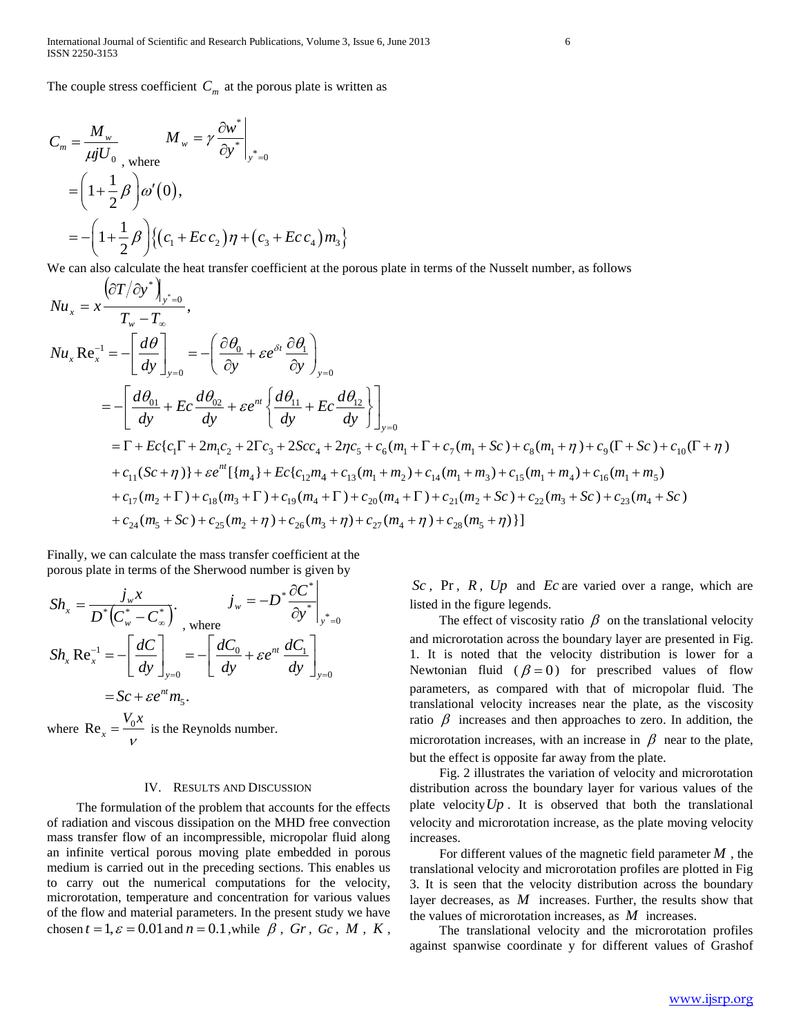The couple stress coefficient  $C_m$  at the porous plate is written as

$$
C_m = \frac{M_w}{\mu j U_0}, \quad M_w = \gamma \frac{\partial w^*}{\partial y^*}\Big|_{y^*=0}
$$
  
=  $\left(1 + \frac{1}{2}\beta\right)\omega'(0),$   
=  $-\left(1 + \frac{1}{2}\beta\right)\left\{(c_1 + Ec c_2)\eta + (c_3 + Ec c_4)\eta_3\right\}$ 

We can also calculate the heat transfer coefficient at the porous plate in terms of the Nusselt number, as follows

$$
Nu_{x} = x \frac{\left(\partial T / \partial y^{*}\right)_{y^{*}=0}}{T_{w} - T_{\infty}},
$$
\n
$$
Nu_{x} Re_{x}^{-1} = -\left[\frac{d\theta}{dy}\right]_{y=0} = -\left(\frac{\partial \theta_{0}}{\partial y} + \varepsilon e^{\delta t} \frac{\partial \theta_{1}}{\partial y}\right)_{y=0}
$$
\n
$$
= -\left[\frac{d\theta_{01}}{dy} + E_{C} \frac{d\theta_{02}}{dy} + \varepsilon e^{nt} \left\{\frac{d\theta_{11}}{dy} + E_{C} \frac{d\theta_{12}}{dy}\right\}\right]_{y=0}
$$
\n
$$
= \Gamma + E_{C}\left\{c_{1}\Gamma + 2m_{1}c_{2} + 2\Gamma c_{3} + 2Scc_{4} + 2\eta c_{5} + c_{6}(m_{1} + \Gamma + c_{7}(m_{1} + Sc) + c_{8}(m_{1} + \eta) + c_{9}(\Gamma + Sc) + c_{10}(\Gamma + \eta) + c_{11}(Sc + \eta)\right\} + \varepsilon e^{nt}\left\{\{m_{4}\} + E_{C}\left\{c_{12}m_{4} + c_{13}(m_{1} + m_{2}) + c_{14}(m_{1} + m_{3}) + c_{15}(m_{1} + m_{4}) + c_{16}(m_{1} + m_{5}) + c_{17}(m_{2} + \Gamma) + c_{18}(m_{3} + \Gamma) + c_{19}(m_{4} + \Gamma) + c_{20}(m_{4} + \Gamma) + c_{21}(m_{2} + Sc) + c_{22}(m_{3} + Sc) + c_{23}(m_{4} + Sc) + c_{24}(m_{5} + Sc) + c_{25}(m_{2} + \eta) + c_{26}(m_{3} + \eta) + c_{27}(m_{4} + \eta) + c_{28}(m_{5} + \eta)\right\}
$$

Finally, we can calculate the mass transfer coefficient at the porous plate in terms of the Sherwood number is given by

$$
Sh_x = \frac{j_w x}{D^* (C_w^* - C_\infty^*)} \cdot \left. \right|_{y = -D} = \frac{\partial C^*}{\partial y^*} \right|_{y^* = 0}
$$
  
\n
$$
Sh_x \text{ Re}_x^{-1} = -\left[ \frac{dC}{dy} \right]_{y = 0} = -\left[ \frac{dC_0}{dy} + \varepsilon e^{nt} \frac{dC_1}{dy} \right]_{y = 0}
$$
  
\n
$$
= Sc + \varepsilon e^{nt} m_S.
$$
  
\nwhere  $\text{Re}_x = \frac{V_0 x}{V}$  is the Reynolds number.

#### IV. RESULTS AND DISCUSSION

 The formulation of the problem that accounts for the effects of radiation and viscous dissipation on the MHD free convection mass transfer flow of an incompressible, micropolar fluid along an infinite vertical porous moving plate embedded in porous medium is carried out in the preceding sections. This enables us to carry out the numerical computations for the velocity, microrotation, temperature and concentration for various values of the flow and material parameters. In the present study we have chosen  $t = 1$ ,  $\varepsilon = 0.01$  and  $n = 0.1$ , while  $\beta$ , Gr, Gc, M, K,

*Sc* , Pr , *R* , *Up* and *Ec* are varied over a range, which are listed in the figure legends.

The effect of viscosity ratio  $\beta$  on the translational velocity and microrotation across the boundary layer are presented in Fig. 1. It is noted that the velocity distribution is lower for a Newtonian fluid  $(\beta = 0)$  for prescribed values of flow parameters, as compared with that of micropolar fluid. The translational velocity increases near the plate, as the viscosity ratio  $\beta$  increases and then approaches to zero. In addition, the microrotation increases, with an increase in  $\beta$  near to the plate, but the effect is opposite far away from the plate.

 Fig. 2 illustrates the variation of velocity and microrotation distribution across the boundary layer for various values of the plate velocity  $Up$ . It is observed that both the translational velocity and microrotation increase, as the plate moving velocity increases.

 For different values of the magnetic field parameter *M* , the translational velocity and microrotation profiles are plotted in Fig 3. It is seen that the velocity distribution across the boundary layer decreases, as *M* increases. Further, the results show that the values of microrotation increases, as *M* increases.

 The translational velocity and the microrotation profiles against spanwise coordinate y for different values of Grashof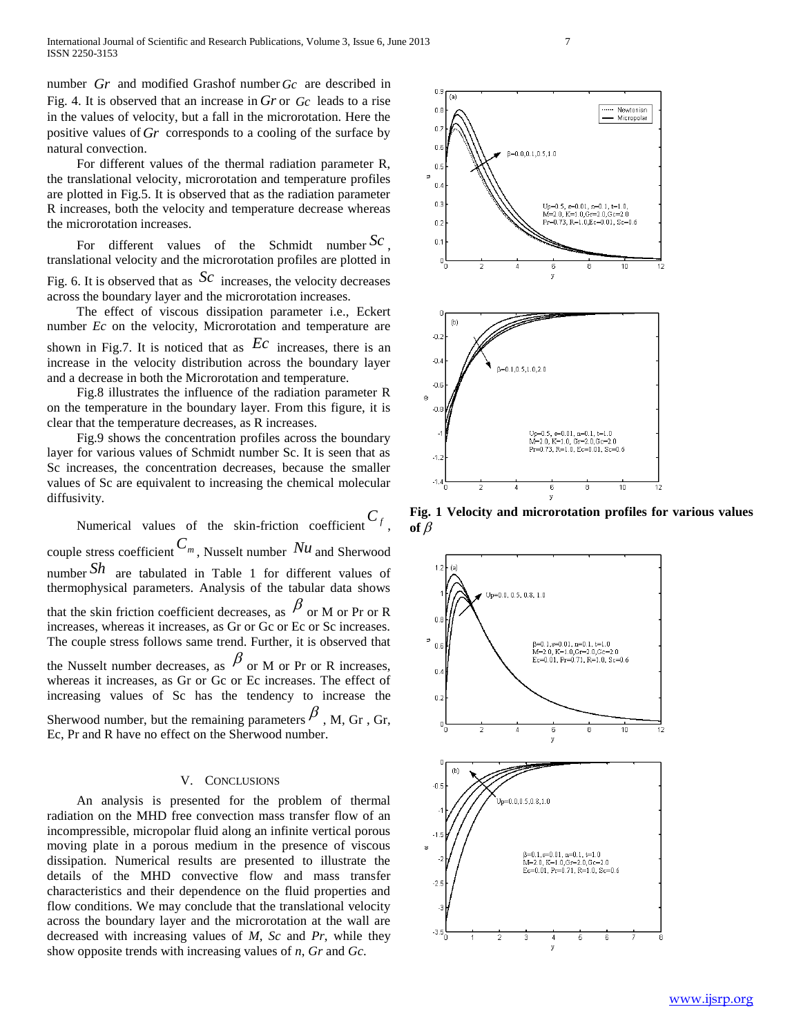number *Gr* and modified Grashof number *Gc* are described in Fig. 4. It is observed that an increase in  $Gr$  or  $Gc$  leads to a rise in the values of velocity, but a fall in the microrotation. Here the positive values of *Gr* corresponds to a cooling of the surface by natural convection.

 For different values of the thermal radiation parameter R, the translational velocity, microrotation and temperature profiles are plotted in Fig.5. It is observed that as the radiation parameter R increases, both the velocity and temperature decrease whereas the microrotation increases.

 For different values of the Schmidt number *Sc* , translational velocity and the microrotation profiles are plotted in Fig. 6. It is observed that as  $Sc$  increases, the velocity decreases across the boundary layer and the microrotation increases.

 The effect of viscous dissipation parameter i.e., Eckert number *Ec* on the velocity, Microrotation and temperature are shown in Fig.7. It is noticed that as  $\mathbb{E}c$  increases, there is an increase in the velocity distribution across the boundary layer and a decrease in both the Microrotation and temperature.

 Fig.8 illustrates the influence of the radiation parameter R on the temperature in the boundary layer. From this figure, it is clear that the temperature decreases, as R increases.

 Fig.9 shows the concentration profiles across the boundary layer for various values of Schmidt number Sc. It is seen that as Sc increases, the concentration decreases, because the smaller values of Sc are equivalent to increasing the chemical molecular diffusivity.

Numerical values of the skin-friction coefficient  $C_f$ , couple stress coefficient  $C_m$ , Nusselt number  $Nu$  and Sherwood number *Sh* are tabulated in Table 1 for different values of thermophysical parameters. Analysis of the tabular data shows that the skin friction coefficient decreases, as  $\beta$  or M or Pr or R increases, whereas it increases, as Gr or Gc or Ec or Sc increases. The couple stress follows same trend. Further, it is observed that the Nusselt number decreases, as  $\beta$  or M or Pr or R increases, whereas it increases, as Gr or Gc or Ec increases. The effect of increasing values of Sc has the tendency to increase the Sherwood number, but the remaining parameters  $\beta$ , M, Gr, Gr, Ec, Pr and R have no effect on the Sherwood number.

## V. CONCLUSIONS

 An analysis is presented for the problem of thermal radiation on the MHD free convection mass transfer flow of an incompressible, micropolar fluid along an infinite vertical porous moving plate in a porous medium in the presence of viscous dissipation. Numerical results are presented to illustrate the details of the MHD convective flow and mass transfer characteristics and their dependence on the fluid properties and flow conditions. We may conclude that the translational velocity across the boundary layer and the microrotation at the wall are decreased with increasing values of *M*, *Sc* and *Pr*, while they show opposite trends with increasing values of *n*, *Gr* and *Gc*.



**Fig. 1 Velocity and microrotation profiles for various values**  of  $\beta$ 

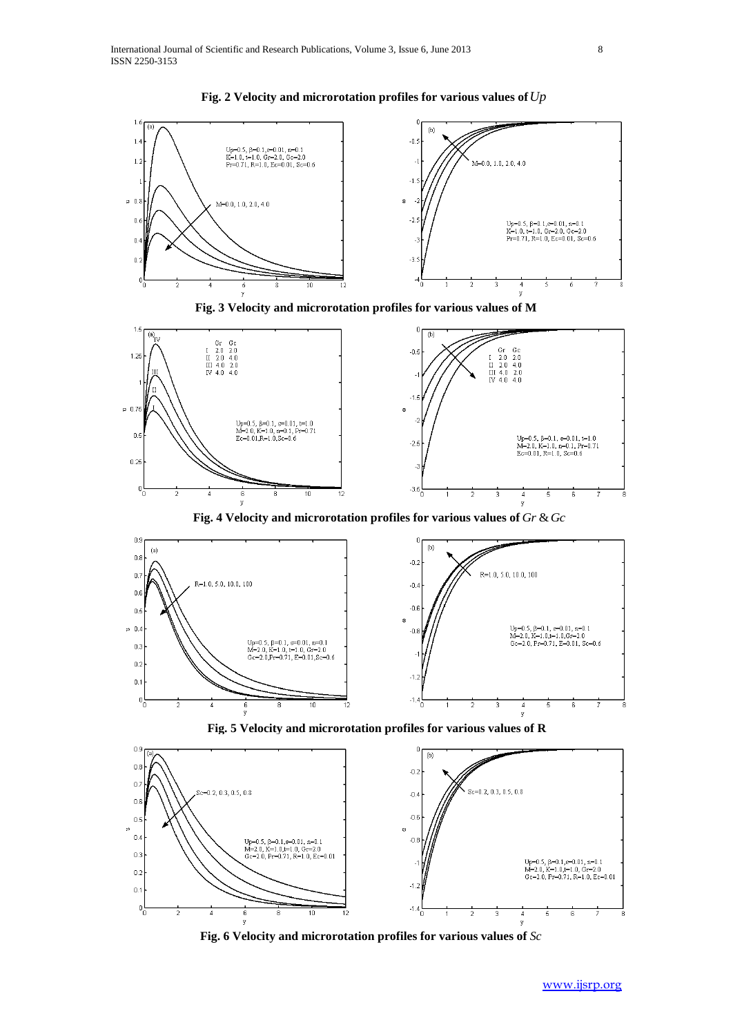







 **Fig. 4 Velocity and microrotation profiles for various values of** *Gr Gc* &



 **Fig. 5 Velocity and microrotation profiles for various values of R**



 **Fig. 6 Velocity and microrotation profiles for various values of** *Sc*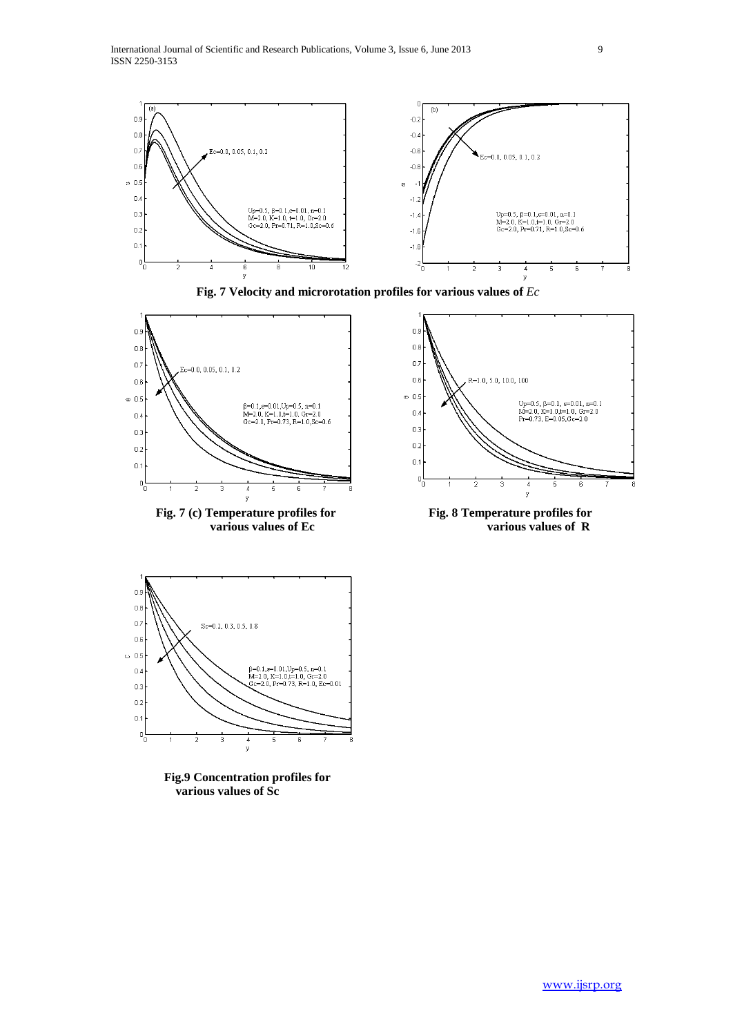

 **Fig. 7 Velocity and microrotation profiles for various values of** *Ec*



Fig. 7 (c) Temperature profiles for Fig. 8 Temperature profiles for



various values of Ec various values of R



 **Fig.9 Concentration profiles for various values of Sc**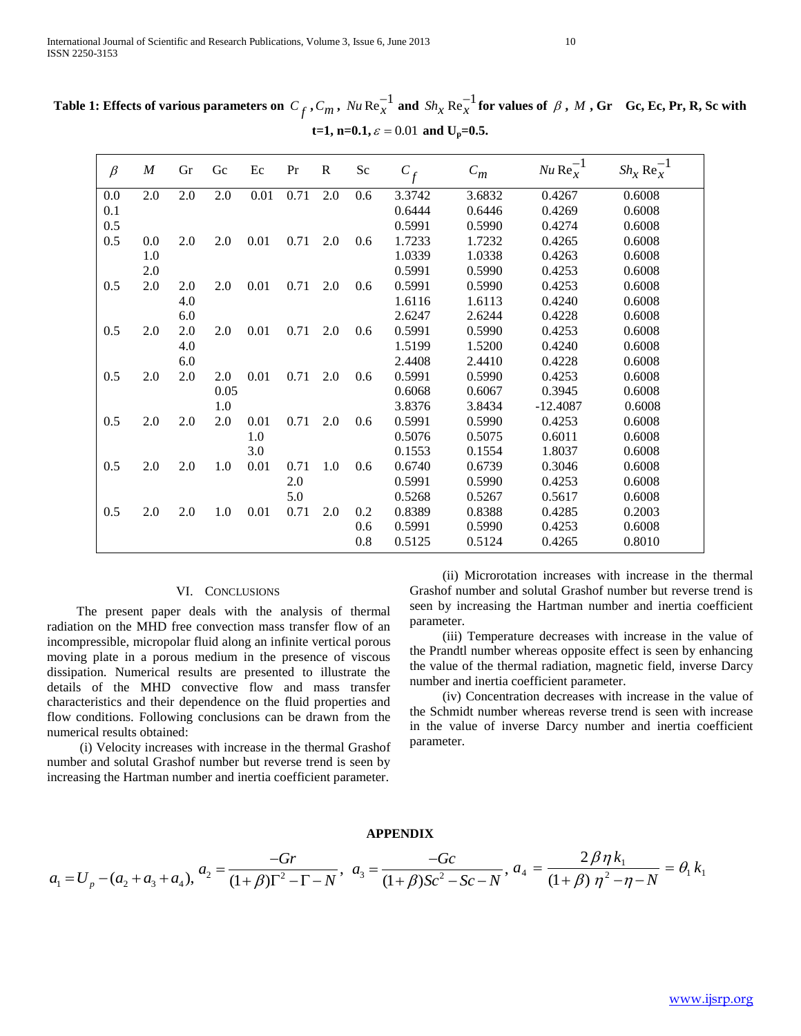| Table 1: Effects of various parameters on $C_f$ , $C_m$ , $Nu$ Re $_X^{-1}$ and $\,Sh_X\,Re_X^{-1}$ for values of $\,\beta$ , $\,M$ , Gr $\,$ Gc, Ec, Pr, R, Sc with |                                                           |  |  |
|----------------------------------------------------------------------------------------------------------------------------------------------------------------------|-----------------------------------------------------------|--|--|
|                                                                                                                                                                      | t=1, n=0.1, $\varepsilon$ = 0.01 and U <sub>p</sub> =0.5. |  |  |

| $\beta$ | $\boldsymbol{M}$ | Gr  | Gc   | Ec   | Pr   | $\mathbf R$ | Sc  | $C_f$  | $C_m$  | $Nu \text{Re}_x^{-1}$ | $Sh_x \text{Re}_x^{-1}$ |
|---------|------------------|-----|------|------|------|-------------|-----|--------|--------|-----------------------|-------------------------|
| 0.0     | 2.0              | 2.0 | 2.0  | 0.01 | 0.71 | 2.0         | 0.6 | 3.3742 | 3.6832 | 0.4267                | 0.6008                  |
| 0.1     |                  |     |      |      |      |             |     | 0.6444 | 0.6446 | 0.4269                | 0.6008                  |
| 0.5     |                  |     |      |      |      |             |     | 0.5991 | 0.5990 | 0.4274                | 0.6008                  |
| 0.5     | $0.0\,$          | 2.0 | 2.0  | 0.01 | 0.71 | 2.0         | 0.6 | 1.7233 | 1.7232 | 0.4265                | 0.6008                  |
|         | 1.0              |     |      |      |      |             |     | 1.0339 | 1.0338 | 0.4263                | 0.6008                  |
|         | 2.0              |     |      |      |      |             |     | 0.5991 | 0.5990 | 0.4253                | 0.6008                  |
| 0.5     | 2.0              | 2.0 | 2.0  | 0.01 | 0.71 | 2.0         | 0.6 | 0.5991 | 0.5990 | 0.4253                | 0.6008                  |
|         |                  | 4.0 |      |      |      |             |     | 1.6116 | 1.6113 | 0.4240                | 0.6008                  |
|         |                  | 6.0 |      |      |      |             |     | 2.6247 | 2.6244 | 0.4228                | 0.6008                  |
| 0.5     | 2.0              | 2.0 | 2.0  | 0.01 | 0.71 | 2.0         | 0.6 | 0.5991 | 0.5990 | 0.4253                | 0.6008                  |
|         |                  | 4.0 |      |      |      |             |     | 1.5199 | 1.5200 | 0.4240                | 0.6008                  |
|         |                  | 6.0 |      |      |      |             |     | 2.4408 | 2.4410 | 0.4228                | 0.6008                  |
| 0.5     | 2.0              | 2.0 | 2.0  | 0.01 | 0.71 | 2.0         | 0.6 | 0.5991 | 0.5990 | 0.4253                | 0.6008                  |
|         |                  |     | 0.05 |      |      |             |     | 0.6068 | 0.6067 | 0.3945                | 0.6008                  |
|         |                  |     | 1.0  |      |      |             |     | 3.8376 | 3.8434 | $-12.4087$            | 0.6008                  |
| 0.5     | 2.0              | 2.0 | 2.0  | 0.01 | 0.71 | 2.0         | 0.6 | 0.5991 | 0.5990 | 0.4253                | 0.6008                  |
|         |                  |     |      | 1.0  |      |             |     | 0.5076 | 0.5075 | 0.6011                | 0.6008                  |
|         |                  |     |      | 3.0  |      |             |     | 0.1553 | 0.1554 | 1.8037                | 0.6008                  |
| 0.5     | 2.0              | 2.0 | 1.0  | 0.01 | 0.71 | 1.0         | 0.6 | 0.6740 | 0.6739 | 0.3046                | 0.6008                  |
|         |                  |     |      |      | 2.0  |             |     | 0.5991 | 0.5990 | 0.4253                | 0.6008                  |
|         |                  |     |      |      | 5.0  |             |     | 0.5268 | 0.5267 | 0.5617                | 0.6008                  |
| 0.5     | 2.0              | 2.0 | 1.0  | 0.01 | 0.71 | 2.0         | 0.2 | 0.8389 | 0.8388 | 0.4285                | 0.2003                  |
|         |                  |     |      |      |      |             | 0.6 | 0.5991 | 0.5990 | 0.4253                | 0.6008                  |
|         |                  |     |      |      |      |             | 0.8 | 0.5125 | 0.5124 | 0.4265                | 0.8010                  |

## VI. CONCLUSIONS

 The present paper deals with the analysis of thermal radiation on the MHD free convection mass transfer flow of an incompressible, micropolar fluid along an infinite vertical porous moving plate in a porous medium in the presence of viscous dissipation. Numerical results are presented to illustrate the details of the MHD convective flow and mass transfer characteristics and their dependence on the fluid properties and flow conditions. Following conclusions can be drawn from the numerical results obtained:

 (i) Velocity increases with increase in the thermal Grashof number and solutal Grashof number but reverse trend is seen by increasing the Hartman number and inertia coefficient parameter.

 (ii) Microrotation increases with increase in the thermal Grashof number and solutal Grashof number but reverse trend is seen by increasing the Hartman number and inertia coefficient parameter.

 (iii) Temperature decreases with increase in the value of the Prandtl number whereas opposite effect is seen by enhancing the value of the thermal radiation, magnetic field, inverse Darcy number and inertia coefficient parameter.

 (iv) Concentration decreases with increase in the value of the Schmidt number whereas reverse trend is seen with increase in the value of inverse Darcy number and inertia coefficient parameter.

## **APPENDIX**

$$
a_1 = U_p - (a_2 + a_3 + a_4), \quad a_2 = \frac{-Gr}{(1+\beta)\Gamma^2 - \Gamma - N}, \quad a_3 = \frac{-Gc}{(1+\beta)Sc^2 - Sc - N}, \quad a_4 = \frac{2\beta\eta k_1}{(1+\beta)\eta^2 - \eta - N} = \theta_1 k_1
$$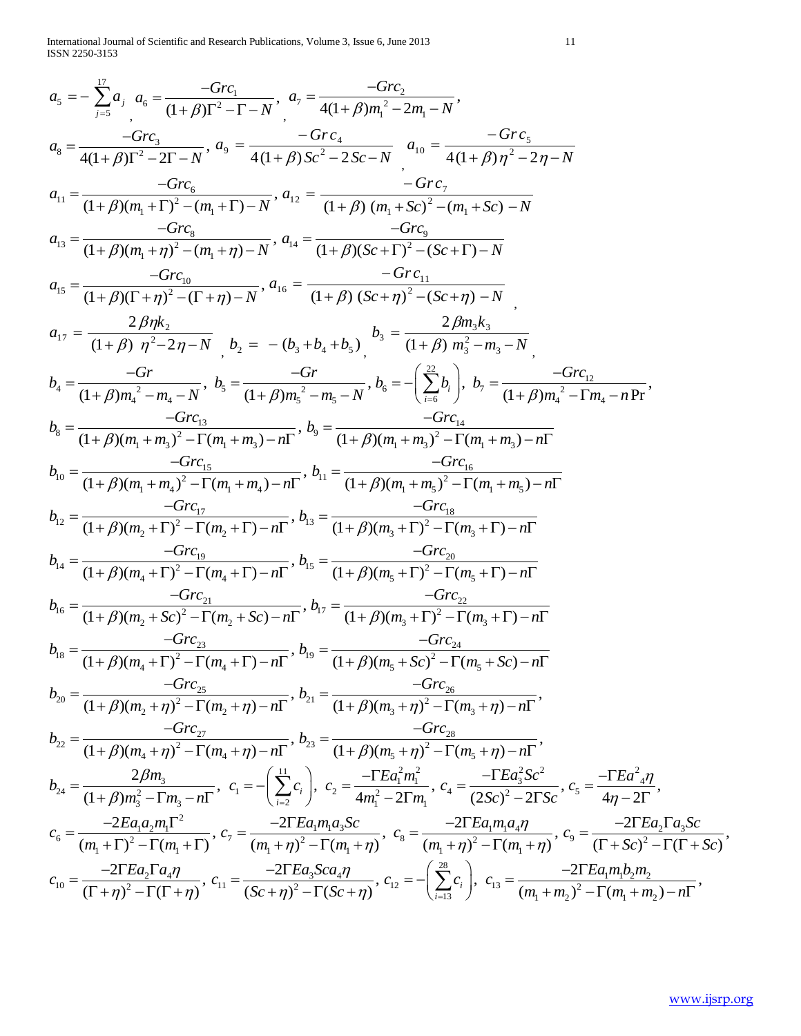International Journal of Scientific and Research Publications, Volume 3, Issue 6, June 2013 11 ISSN 2250-3153

$$
a_{s} = -\sum_{j=3}^{n} a_{s} = \frac{-Grc_{1}}{(1+\beta)T^{2}-1-N}, a_{7} = \frac{-Grc_{2}}{4(1+\beta)m_{1}^{2}-2m_{1}-N},
$$
\n
$$
a_{s} = \frac{-Grc_{3}}{4(1+\beta)T^{2}-2-N}, a_{9} = \frac{-Grc_{4}}{4(1+\beta)Sc^{2}-2Sc-N}, a_{10} = \frac{-Grc_{5}}{4(1+\beta)T^{2}-2T-N},
$$
\n
$$
a_{11} = \frac{-Grc_{3}}{(1+\beta)(m_{1}+1)^{2}-(m_{1}+1)-N}, a_{12} = \frac{-Grc_{5}}{(1+\beta)(m_{1}+Sc)^{2}-(m_{1}+Sc)-N},
$$
\n
$$
a_{13} = \frac{-Grc_{8}}{(1+\beta)(1+m_{1}^{2})^{2}-(m_{1}+m)-N}, a_{14} = \frac{-Grc_{9}}{(1+\beta)(Sc+1)^{2}-(Sc+1)-N},
$$
\n
$$
a_{15} = \frac{-Grc_{10}}{(1+\beta)(1+m_{1}^{2})^{2}-(1+m_{1}-N)}, a_{16} = \frac{-Grc_{11}}{(1+\beta)(Sc+1)^{2}-(Sc+1)-N},
$$
\n
$$
a_{17} = \frac{2\beta\eta k_{2}}{(1+\beta)m_{1}^{2}-2\eta-N}, b_{18} = \frac{-Grc_{11}}{(1+\beta)(Sc+1)^{2}-(Sc+\eta-N},
$$
\n
$$
b_{19} = \frac{-Grc_{10}}{(1+\beta)m_{1}^{2}-m_{1}-N}, b_{20} = -\left(b_{3}+b_{4}+b_{3}\right), \frac{b_{3}}{(1+\beta)(m_{3}^{2}-m_{3}-N},
$$
\n
$$
b_{4} = \frac{-Grc_{3}}{(1+\beta)(m_{1}+m_{3})^{2}-(m_{1}+m_{3})-m}, b_{5} = \frac{-Grc_{11}}{(1+\beta)(m_{1}+m_{3})^{2}-(m_{1}+m_{3})-n}
$$
\n
$$
b_{8} = \frac{-Grc_{18}}{(1+\beta)(m_{1}+m_{3})^{2}-(m_{1}+m_{3})-n}
$$
\n
$$
b_{18} = \frac
$$